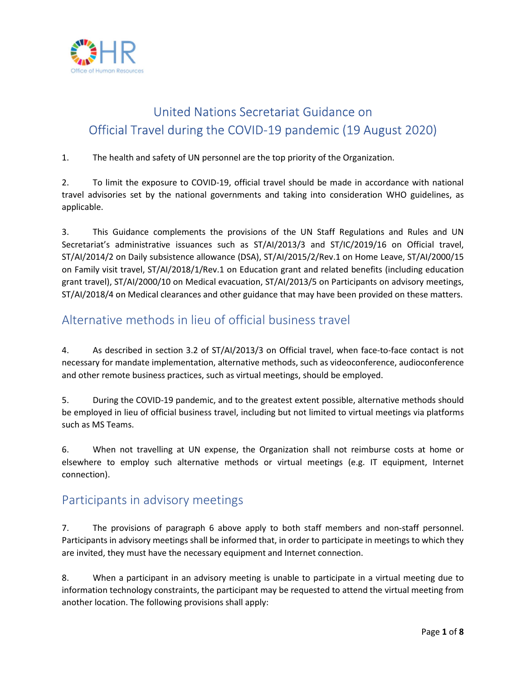

# United Nations Secretariat Guidance on Official Travel during the COVID-19 pandemic (19 August 2020)

#### 1. The health and safety of UN personnel are the top priority of the Organization.

2. To limit the exposure to COVID-19, official travel should be made in accordance with national travel advisories set by the national governments and taking into consideration WHO guidelines, as applicable.

3. This Guidance complements the provisions of the UN Staff Regulations and Rules and UN Secretariat's administrative issuances such as ST/AI/2013/3 and ST/IC/2019/16 on Official travel, ST/AI/2014/2 on Daily subsistence allowance (DSA), ST/AI/2015/2/Rev.1 on Home Leave, ST/AI/2000/15 on Family visit travel, ST/AI/2018/1/Rev.1 on Education grant and related benefits (including education grant travel), ST/AI/2000/10 on Medical evacuation, ST/AI/2013/5 on Participants on advisory meetings, ST/AI/2018/4 on Medical clearances and other guidance that may have been provided on these matters.

## Alternative methods in lieu of official business travel

4. As described in section 3.2 of ST/AI/2013/3 on Official travel, when face-to-face contact is not necessary for mandate implementation, alternative methods, such as videoconference, audioconference and other remote business practices, such as virtual meetings, should be employed.

5. During the COVID-19 pandemic, and to the greatest extent possible, alternative methods should be employed in lieu of official business travel, including but not limited to virtual meetings via platforms such as MS Teams.

6. When not travelling at UN expense, the Organization shall not reimburse costs at home or elsewhere to employ such alternative methods or virtual meetings (e.g. IT equipment, Internet connection).

### Participants in advisory meetings

7. The provisions of paragraph 6 above apply to both staff members and non-staff personnel. Participants in advisory meetings shall be informed that, in order to participate in meetings to which they are invited, they must have the necessary equipment and Internet connection.

8. When a participant in an advisory meeting is unable to participate in a virtual meeting due to information technology constraints, the participant may be requested to attend the virtual meeting from another location. The following provisions shall apply: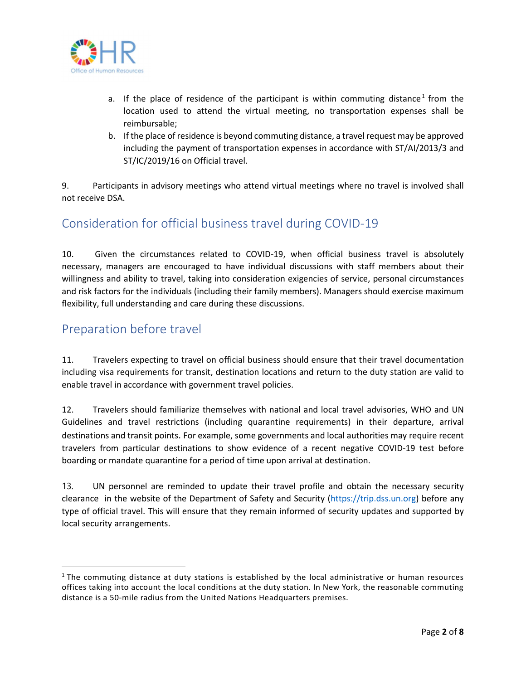

- a. If the place of residence of the participant is within commuting distance<sup>1</sup> from the location used to attend the virtual meeting, no transportation expenses shall be reimbursable;
- b. If the place of residence is beyond commuting distance, a travel request may be approved including the payment of transportation expenses in accordance with ST/AI/2013/3 and ST/IC/2019/16 on Official travel.

9. Participants in advisory meetings who attend virtual meetings where no travel is involved shall not receive DSA.

### Consideration for official business travel during COVID-19

10. Given the circumstances related to COVID-19, when official business travel is absolutely necessary, managers are encouraged to have individual discussions with staff members about their willingness and ability to travel, taking into consideration exigencies of service, personal circumstances and risk factors for the individuals (including their family members). Managers should exercise maximum flexibility, full understanding and care during these discussions.

### Preparation before travel

11. Travelers expecting to travel on official business should ensure that their travel documentation including visa requirements for transit, destination locations and return to the duty station are valid to enable travel in accordance with government travel policies.

12. Travelers should familiarize themselves with national and local travel advisories, WHO and UN Guidelines and travel restrictions (including quarantine requirements) in their departure, arrival destinations and transit points. For example, some governments and local authorities may require recent travelers from particular destinations to show evidence of a recent negative COVID-19 test before boarding or mandate quarantine for a period of time upon arrival at destination.

13. UN personnel are reminded to update their travel profile and obtain the necessary security clearance in the website of the Department of Safety and Security (https://trip.dss.un.org) before any type of official travel. This will ensure that they remain informed of security updates and supported by local security arrangements.

<sup>&</sup>lt;sup>1</sup> The commuting distance at duty stations is established by the local administrative or human resources offices taking into account the local conditions at the duty station. In New York, the reasonable commuting distance is a 50-mile radius from the United Nations Headquarters premises.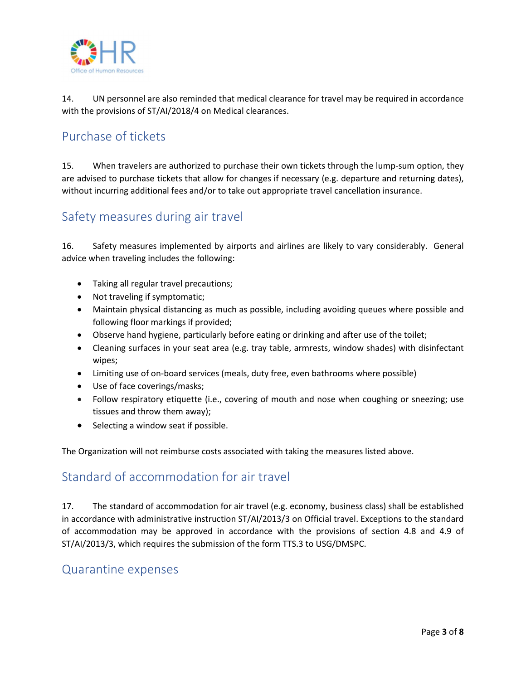

14. UN personnel are also reminded that medical clearance for travel may be required in accordance with the provisions of ST/AI/2018/4 on Medical clearances.

## Purchase of tickets

15. When travelers are authorized to purchase their own tickets through the lump-sum option, they are advised to purchase tickets that allow for changes if necessary (e.g. departure and returning dates), without incurring additional fees and/or to take out appropriate travel cancellation insurance.

### Safety measures during air travel

16. Safety measures implemented by airports and airlines are likely to vary considerably. General advice when traveling includes the following:

- Taking all regular travel precautions;
- Not traveling if symptomatic;
- Maintain physical distancing as much as possible, including avoiding queues where possible and following floor markings if provided;
- Observe hand hygiene, particularly before eating or drinking and after use of the toilet;
- Cleaning surfaces in your seat area (e.g. tray table, armrests, window shades) with disinfectant wipes;
- Limiting use of on-board services (meals, duty free, even bathrooms where possible)
- Use of face coverings/masks;
- Follow respiratory etiquette (i.e., covering of mouth and nose when coughing or sneezing; use tissues and throw them away);
- $\bullet$  Selecting a window seat if possible.

The Organization will not reimburse costs associated with taking the measures listed above.

### Standard of accommodation for air travel

17. The standard of accommodation for air travel (e.g. economy, business class) shall be established in accordance with administrative instruction ST/AI/2013/3 on Official travel. Exceptions to the standard of accommodation may be approved in accordance with the provisions of section 4.8 and 4.9 of ST/AI/2013/3, which requires the submission of the form TTS.3 to USG/DMSPC.

#### Quarantine expenses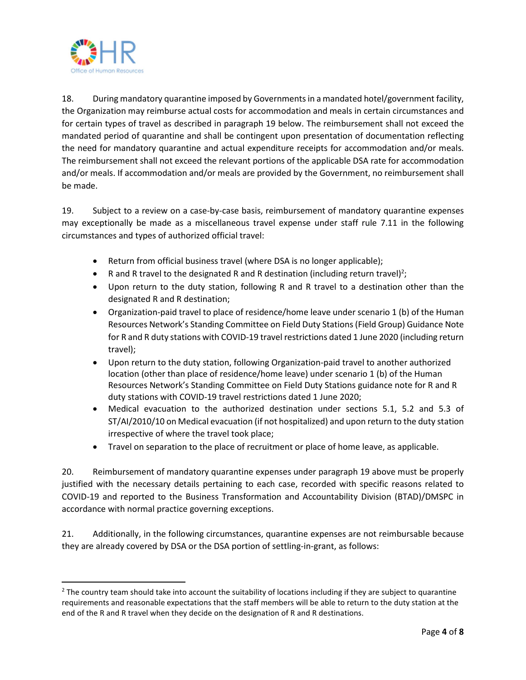

18. During mandatory quarantine imposed by Governments in a mandated hotel/government facility, the Organization may reimburse actual costs for accommodation and meals in certain circumstances and for certain types of travel as described in paragraph 19 below. The reimbursement shall not exceed the mandated period of quarantine and shall be contingent upon presentation of documentation reflecting the need for mandatory quarantine and actual expenditure receipts for accommodation and/or meals. The reimbursement shall not exceed the relevant portions of the applicable DSA rate for accommodation and/or meals. If accommodation and/or meals are provided by the Government, no reimbursement shall be made.

19. Subject to a review on a case-by-case basis, reimbursement of mandatory quarantine expenses may exceptionally be made as a miscellaneous travel expense under staff rule 7.11 in the following circumstances and types of authorized official travel:

- Return from official business travel (where DSA is no longer applicable);
- R and R travel to the designated R and R destination (including return travel)<sup>2</sup>;
- Upon return to the duty station, following R and R travel to a destination other than the designated R and R destination;
- Organization-paid travel to place of residence/home leave under scenario 1 (b) of the Human Resources Network's Standing Committee on Field Duty Stations (Field Group) Guidance Note for R and R duty stations with COVID-19 travel restrictions dated 1 June 2020 (including return travel);
- Upon return to the duty station, following Organization-paid travel to another authorized location (other than place of residence/home leave) under scenario 1 (b) of the Human Resources Network's Standing Committee on Field Duty Stations guidance note for R and R duty stations with COVID-19 travel restrictions dated 1 June 2020;
- Medical evacuation to the authorized destination under sections 5.1, 5.2 and 5.3 of ST/AI/2010/10 on Medical evacuation (if not hospitalized) and upon return to the duty station irrespective of where the travel took place;
- Travel on separation to the place of recruitment or place of home leave, as applicable.

20. Reimbursement of mandatory quarantine expenses under paragraph 19 above must be properly justified with the necessary details pertaining to each case, recorded with specific reasons related to COVID-19 and reported to the Business Transformation and Accountability Division (BTAD)/DMSPC in accordance with normal practice governing exceptions.

21. Additionally, in the following circumstances, quarantine expenses are not reimbursable because they are already covered by DSA or the DSA portion of settling-in-grant, as follows:

 $2$  The country team should take into account the suitability of locations including if they are subject to quarantine requirements and reasonable expectations that the staff members will be able to return to the duty station at the end of the R and R travel when they decide on the designation of R and R destinations.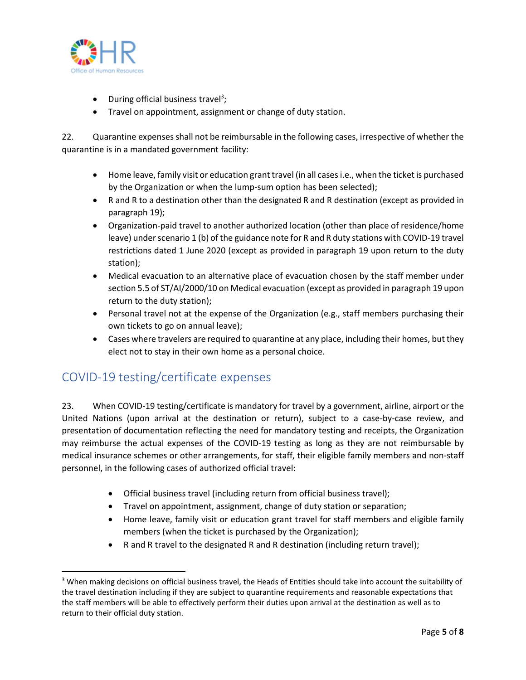

- During official business travel<sup>3</sup>;
- Travel on appointment, assignment or change of duty station.

22. Quarantine expenses shall not be reimbursable in the following cases, irrespective of whether the quarantine is in a mandated government facility:

- Home leave, family visit or education grant travel (in all cases i.e., when the ticket is purchased by the Organization or when the lump-sum option has been selected);
- R and R to a destination other than the designated R and R destination (except as provided in paragraph 19);
- Organization-paid travel to another authorized location (other than place of residence/home leave) under scenario 1 (b) of the guidance note for R and R duty stations with COVID-19 travel restrictions dated 1 June 2020 (except as provided in paragraph 19 upon return to the duty station);
- Medical evacuation to an alternative place of evacuation chosen by the staff member under section 5.5 of ST/AI/2000/10 on Medical evacuation (except as provided in paragraph 19 upon return to the duty station);
- Personal travel not at the expense of the Organization (e.g., staff members purchasing their own tickets to go on annual leave);
- Cases where travelers are required to quarantine at any place, including their homes, but they elect not to stay in their own home as a personal choice.

## COVID-19 testing/certificate expenses

23. When COVID-19 testing/certificate is mandatory for travel by a government, airline, airport or the United Nations (upon arrival at the destination or return), subject to a case-by-case review, and presentation of documentation reflecting the need for mandatory testing and receipts, the Organization may reimburse the actual expenses of the COVID-19 testing as long as they are not reimbursable by medical insurance schemes or other arrangements, for staff, their eligible family members and non-staff personnel, in the following cases of authorized official travel:

- Official business travel (including return from official business travel);
- Travel on appointment, assignment, change of duty station or separation;
- Home leave, family visit or education grant travel for staff members and eligible family members (when the ticket is purchased by the Organization);
- R and R travel to the designated R and R destination (including return travel);

<sup>&</sup>lt;sup>3</sup> When making decisions on official business travel, the Heads of Entities should take into account the suitability of the travel destination including if they are subject to quarantine requirements and reasonable expectations that the staff members will be able to effectively perform their duties upon arrival at the destination as well as to return to their official duty station.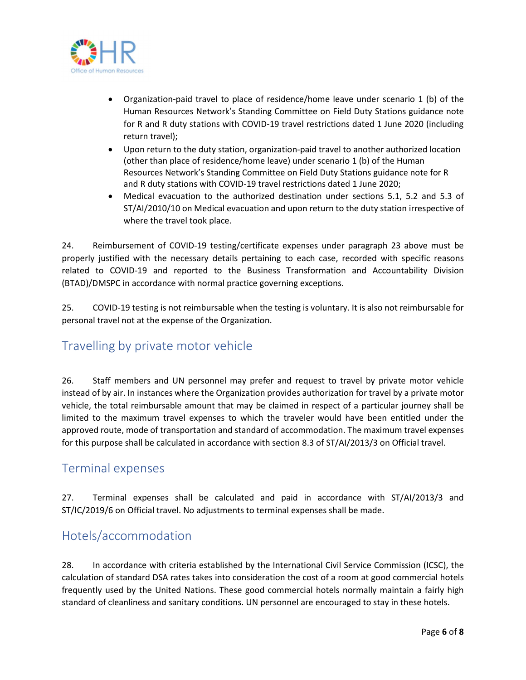

- Organization-paid travel to place of residence/home leave under scenario 1 (b) of the Human Resources Network's Standing Committee on Field Duty Stations guidance note for R and R duty stations with COVID-19 travel restrictions dated 1 June 2020 (including return travel);
- Upon return to the duty station, organization-paid travel to another authorized location (other than place of residence/home leave) under scenario 1 (b) of the Human Resources Network's Standing Committee on Field Duty Stations guidance note for R and R duty stations with COVID-19 travel restrictions dated 1 June 2020;
- Medical evacuation to the authorized destination under sections 5.1, 5.2 and 5.3 of ST/AI/2010/10 on Medical evacuation and upon return to the duty station irrespective of where the travel took place.

24. Reimbursement of COVID-19 testing/certificate expenses under paragraph 23 above must be properly justified with the necessary details pertaining to each case, recorded with specific reasons related to COVID-19 and reported to the Business Transformation and Accountability Division (BTAD)/DMSPC in accordance with normal practice governing exceptions.

25. COVID-19 testing is not reimbursable when the testing is voluntary. It is also not reimbursable for personal travel not at the expense of the Organization.

## Travelling by private motor vehicle

26. Staff members and UN personnel may prefer and request to travel by private motor vehicle instead of by air. In instances where the Organization provides authorization for travel by a private motor vehicle, the total reimbursable amount that may be claimed in respect of a particular journey shall be limited to the maximum travel expenses to which the traveler would have been entitled under the approved route, mode of transportation and standard of accommodation. The maximum travel expenses for this purpose shall be calculated in accordance with section 8.3 of ST/AI/2013/3 on Official travel.

### Terminal expenses

27. Terminal expenses shall be calculated and paid in accordance with ST/AI/2013/3 and ST/IC/2019/6 on Official travel. No adjustments to terminal expenses shall be made.

## Hotels/accommodation

28. In accordance with criteria established by the International Civil Service Commission (ICSC), the calculation of standard DSA rates takes into consideration the cost of a room at good commercial hotels frequently used by the United Nations. These good commercial hotels normally maintain a fairly high standard of cleanliness and sanitary conditions. UN personnel are encouraged to stay in these hotels.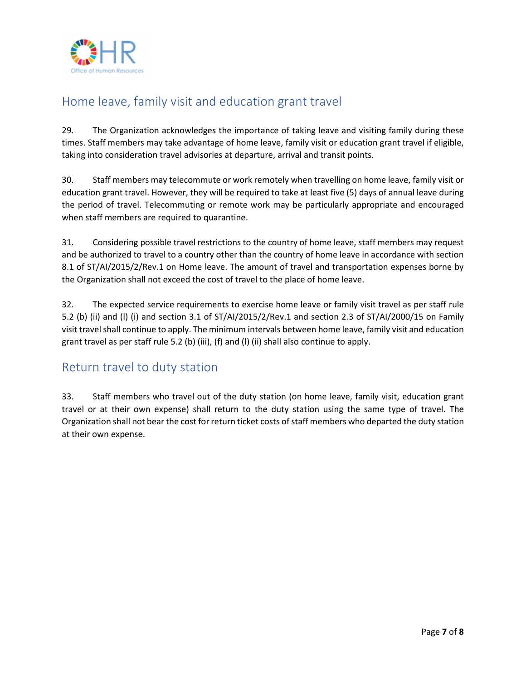

# Home leave, family visit and education grant travel

29. The Organization acknowledges the importance of taking leave and visiting family during these times. Staff members may take advantage of home leave, family visit or education grant travel if eligible, taking into consideration travel advisories at departure, arrival and transit points.

30. Staff members may telecommute or work remotely when travelling on home leave, family visit or education grant travel. However, they will be required to take at least five (5) days of annual leave during the period of travel. Telecommuting or remote work may be particularly appropriate and encouraged when staff members are required to quarantine.

31. Considering possible travel restrictions to the country of home leave, staff members may request and be authorized to travel to a country other than the country of home leave in accordance with section 8.1 of ST/AI/2015/2/Rev.1 on Home leave. The amount of travel and transportation expenses borne by the Organization shall not exceed the cost of travel to the place of home leave.

32. The expected service requirements to exercise home leave or family visit travel as per staff rule 5.2 (b) (ii) and (l) (i) and section 3.1 of ST/AI/2015/2/Rev.1 and section 2.3 of ST/AI/2000/15 on Family visit travel shall continue to apply. The minimum intervals between home leave, family visit and education grant travel as per staff rule 5.2 (b) (iii), (f) and (l) (ii) shall also continue to apply.

## Return travel to duty station

33. Staff members who travel out of the duty station (on home leave, family visit, education grant travel or at their own expense) shall return to the duty station using the same type of travel. The Organization shall not bear the cost for return ticket costs of staff members who departed the duty station at their own expense.